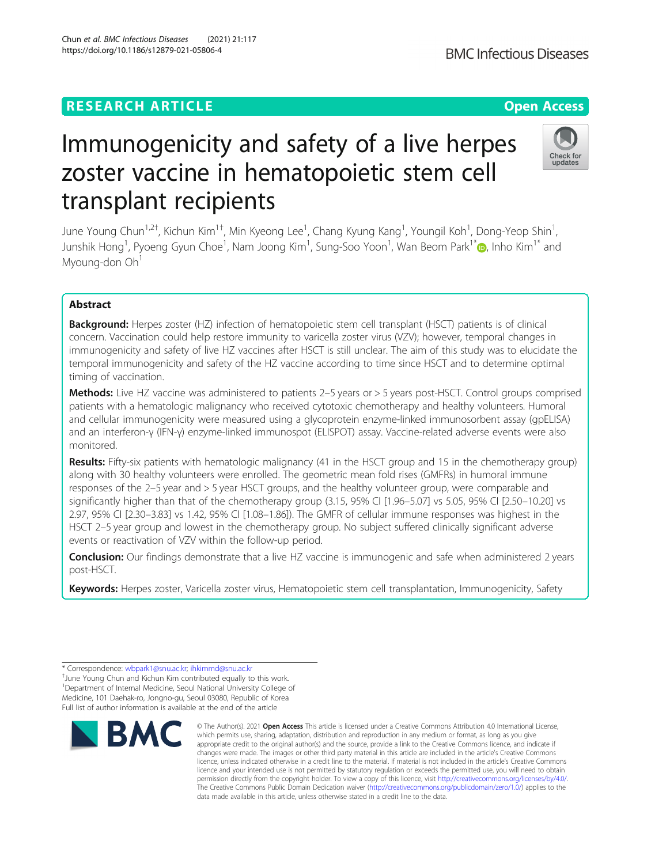## **RESEARCH ARTICLE Example 2014 12:30 The Contract of Contract ACCESS**

# Immunogenicity and safety of a live herpes zoster vaccine in hematopoietic stem cell transplant recipients

June Young Chun<sup>1,2†</sup>, Kichun Kim<sup>1†</sup>, Min Kyeong Lee<sup>1</sup>, Chang Kyung Kang<sup>1</sup>, Youngil Koh<sup>1</sup>, Dong-Yeop Shin<sup>1</sup> , Junshik Hong<sup>1</sup>, Pyoeng Gyun Choe<sup>1</sup>, Nam Joong Kim<sup>1</sup>, Sung-Soo Yoon<sup>1</sup>, Wan Beom Park<sup>1[\\*](http://orcid.org/0000-0003-0022-9625)</sup>@, Inho Kim<sup>1\*</sup> and Myoung-don Oh<sup>1</sup>

## Abstract

Background: Herpes zoster (HZ) infection of hematopoietic stem cell transplant (HSCT) patients is of clinical concern. Vaccination could help restore immunity to varicella zoster virus (VZV); however, temporal changes in immunogenicity and safety of live HZ vaccines after HSCT is still unclear. The aim of this study was to elucidate the temporal immunogenicity and safety of the HZ vaccine according to time since HSCT and to determine optimal timing of vaccination.

Methods: Live HZ vaccine was administered to patients 2-5 years or > 5 years post-HSCT. Control groups comprised patients with a hematologic malignancy who received cytotoxic chemotherapy and healthy volunteers. Humoral and cellular immunogenicity were measured using a glycoprotein enzyme-linked immunosorbent assay (gpELISA) and an interferon-γ (IFN-γ) enzyme-linked immunospot (ELISPOT) assay. Vaccine-related adverse events were also monitored.

Results: Fifty-six patients with hematologic malignancy (41 in the HSCT group and 15 in the chemotherapy group) along with 30 healthy volunteers were enrolled. The geometric mean fold rises (GMFRs) in humoral immune responses of the 2–5 year and > 5 year HSCT groups, and the healthy volunteer group, were comparable and significantly higher than that of the chemotherapy group (3.15, 95% CI [1.96–5.07] vs 5.05, 95% CI [2.50–10.20] vs 2.97, 95% CI [2.30–3.83] vs 1.42, 95% CI [1.08–1.86]). The GMFR of cellular immune responses was highest in the HSCT 2–5 year group and lowest in the chemotherapy group. No subject suffered clinically significant adverse events or reactivation of VZV within the follow-up period.

**Conclusion:** Our findings demonstrate that a live HZ vaccine is immunogenic and safe when administered 2 years post-HSCT.

Keywords: Herpes zoster, Varicella zoster virus, Hematopoietic stem cell transplantation, Immunogenicity, Safety

<sup>+</sup>June Young Chun and Kichun Kim contributed equally to this work. <sup>1</sup>Department of Internal Medicine, Seoul National University College of Medicine, 101 Daehak-ro, Jongno-gu, Seoul 03080, Republic of Korea Full list of author information is available at the end of the article



<sup>©</sup> The Author(s), 2021 **Open Access** This article is licensed under a Creative Commons Attribution 4.0 International License, which permits use, sharing, adaptation, distribution and reproduction in any medium or format, as long as you give appropriate credit to the original author(s) and the source, provide a link to the Creative Commons licence, and indicate if changes were made. The images or other third party material in this article are included in the article's Creative Commons licence, unless indicated otherwise in a credit line to the material. If material is not included in the article's Creative Commons licence and your intended use is not permitted by statutory regulation or exceeds the permitted use, you will need to obtain permission directly from the copyright holder. To view a copy of this licence, visit [http://creativecommons.org/licenses/by/4.0/.](http://creativecommons.org/licenses/by/4.0/) The Creative Commons Public Domain Dedication waiver [\(http://creativecommons.org/publicdomain/zero/1.0/](http://creativecommons.org/publicdomain/zero/1.0/)) applies to the data made available in this article, unless otherwise stated in a credit line to the data.



<sup>\*</sup> Correspondence: [wbpark1@snu.ac.kr;](mailto:wbpark1@snu.ac.kr) [ihkimmd@snu.ac.kr](mailto:ihkimmd@snu.ac.kr) †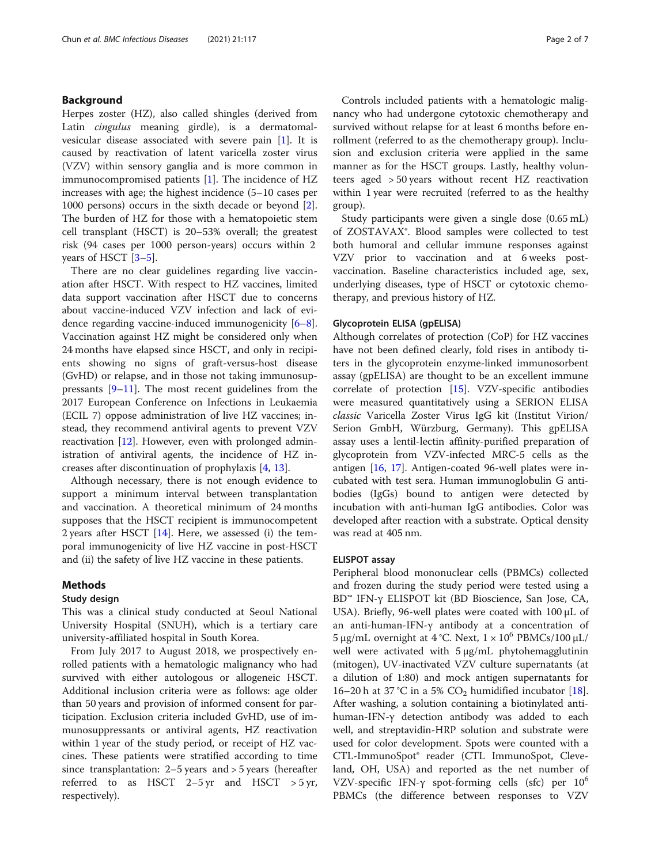## Background

Herpes zoster (HZ), also called shingles (derived from Latin cingulus meaning girdle), is a dermatomalvesicular disease associated with severe pain [\[1](#page-6-0)]. It is caused by reactivation of latent varicella zoster virus (VZV) within sensory ganglia and is more common in immunocompromised patients [[1\]](#page-6-0). The incidence of HZ increases with age; the highest incidence (5–10 cases per 1000 persons) occurs in the sixth decade or beyond [\[2](#page-6-0)]. The burden of HZ for those with a hematopoietic stem cell transplant (HSCT) is 20–53% overall; the greatest risk (94 cases per 1000 person-years) occurs within 2 years of HSCT [\[3](#page-6-0)–[5\]](#page-6-0).

There are no clear guidelines regarding live vaccination after HSCT. With respect to HZ vaccines, limited data support vaccination after HSCT due to concerns about vaccine-induced VZV infection and lack of evidence regarding vaccine-induced immunogenicity [\[6](#page-6-0)–[8](#page-6-0)]. Vaccination against HZ might be considered only when 24 months have elapsed since HSCT, and only in recipients showing no signs of graft-versus-host disease (GvHD) or relapse, and in those not taking immunosuppressants [[9](#page-6-0)–[11\]](#page-6-0). The most recent guidelines from the 2017 European Conference on Infections in Leukaemia (ECIL 7) oppose administration of live HZ vaccines; instead, they recommend antiviral agents to prevent VZV reactivation  $[12]$  $[12]$ . However, even with prolonged administration of antiviral agents, the incidence of HZ increases after discontinuation of prophylaxis [[4](#page-6-0), [13](#page-6-0)].

Although necessary, there is not enough evidence to support a minimum interval between transplantation and vaccination. A theoretical minimum of 24 months supposes that the HSCT recipient is immunocompetent 2 years after HSCT  $[14]$  $[14]$  $[14]$ . Here, we assessed (i) the temporal immunogenicity of live HZ vaccine in post-HSCT and (ii) the safety of live HZ vaccine in these patients.

## Methods

## Study design

This was a clinical study conducted at Seoul National University Hospital (SNUH), which is a tertiary care university-affiliated hospital in South Korea.

From July 2017 to August 2018, we prospectively enrolled patients with a hematologic malignancy who had survived with either autologous or allogeneic HSCT. Additional inclusion criteria were as follows: age older than 50 years and provision of informed consent for participation. Exclusion criteria included GvHD, use of immunosuppressants or antiviral agents, HZ reactivation within 1 year of the study period, or receipt of HZ vaccines. These patients were stratified according to time since transplantation: 2–5 years and > 5 years (hereafter referred to as HSCT  $2-5 \text{ yr}$  and HSCT  $>5 \text{ yr}$ , respectively).

Controls included patients with a hematologic malignancy who had undergone cytotoxic chemotherapy and survived without relapse for at least 6 months before enrollment (referred to as the chemotherapy group). Inclusion and exclusion criteria were applied in the same manner as for the HSCT groups. Lastly, healthy volunteers aged > 50 years without recent HZ reactivation within 1 year were recruited (referred to as the healthy group).

Study participants were given a single dose (0.65 mL) of ZOSTAVAX®. Blood samples were collected to test both humoral and cellular immune responses against VZV prior to vaccination and at 6 weeks postvaccination. Baseline characteristics included age, sex, underlying diseases, type of HSCT or cytotoxic chemotherapy, and previous history of HZ.

#### Glycoprotein ELISA (gpELISA)

Although correlates of protection (CoP) for HZ vaccines have not been defined clearly, fold rises in antibody titers in the glycoprotein enzyme-linked immunosorbent assay (gpELISA) are thought to be an excellent immune correlate of protection [[15](#page-6-0)]. VZV-specific antibodies were measured quantitatively using a SERION ELISA classic Varicella Zoster Virus IgG kit (Institut Virion/ Serion GmbH, Würzburg, Germany). This gpELISA assay uses a lentil-lectin affinity-purified preparation of glycoprotein from VZV-infected MRC-5 cells as the antigen [[16,](#page-6-0) [17](#page-6-0)]. Antigen-coated 96-well plates were incubated with test sera. Human immunoglobulin G antibodies (IgGs) bound to antigen were detected by incubation with anti-human IgG antibodies. Color was developed after reaction with a substrate. Optical density was read at 405 nm.

## ELISPOT assay

Peripheral blood mononuclear cells (PBMCs) collected and frozen during the study period were tested using a BD™ IFN-γ ELISPOT kit (BD Bioscience, San Jose, CA, USA). Briefly, 96-well plates were coated with 100 μL of an anti-human-IFN-γ antibody at a concentration of 5 μg/mL overnight at 4 °C. Next,  $1 \times 10^6$  PBMCs/100 μL/ well were activated with 5 μg/mL phytohemagglutinin (mitogen), UV-inactivated VZV culture supernatants (at a dilution of 1:80) and mock antigen supernatants for 16–20 h at 37 °C in a 5%  $CO<sub>2</sub>$  humidified incubator [\[18](#page-6-0)]. After washing, a solution containing a biotinylated antihuman-IFN-γ detection antibody was added to each well, and streptavidin-HRP solution and substrate were used for color development. Spots were counted with a CTL-ImmunoSpot® reader (CTL ImmunoSpot, Cleveland, OH, USA) and reported as the net number of VZV-specific IFN- $\gamma$  spot-forming cells (sfc) per 10<sup>6</sup> PBMCs (the difference between responses to VZV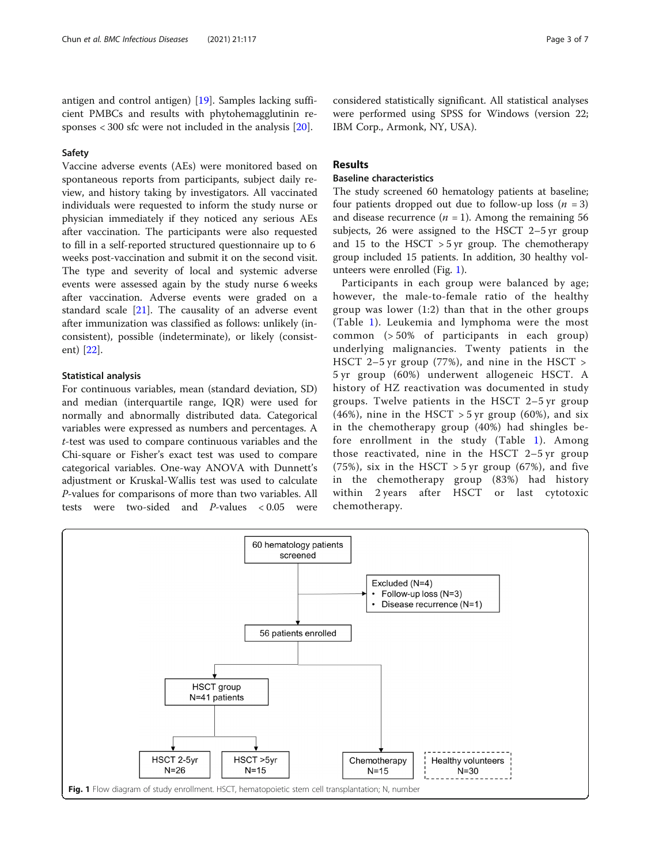antigen and control antigen) [[19](#page-6-0)]. Samples lacking sufficient PMBCs and results with phytohemagglutinin responses < 300 sfc were not included in the analysis [\[20\]](#page-6-0).

## Safety

Vaccine adverse events (AEs) were monitored based on spontaneous reports from participants, subject daily review, and history taking by investigators. All vaccinated individuals were requested to inform the study nurse or physician immediately if they noticed any serious AEs after vaccination. The participants were also requested to fill in a self-reported structured questionnaire up to 6 weeks post-vaccination and submit it on the second visit. The type and severity of local and systemic adverse events were assessed again by the study nurse 6 weeks after vaccination. Adverse events were graded on a standard scale [[21](#page-6-0)]. The causality of an adverse event after immunization was classified as follows: unlikely (inconsistent), possible (indeterminate), or likely (consistent) [[22\]](#page-6-0).

### Statistical analysis

For continuous variables, mean (standard deviation, SD) and median (interquartile range, IQR) were used for normally and abnormally distributed data. Categorical variables were expressed as numbers and percentages. A t-test was used to compare continuous variables and the Chi-square or Fisher's exact test was used to compare categorical variables. One-way ANOVA with Dunnett's adjustment or Kruskal-Wallis test was used to calculate *P*-values for comparisons of more than two variables. All<br>tests were two-sided and *P*-values  $\lt 0.05$  were were two-sided and  $P$ -values < 0.05 were considered statistically significant. All statistical analyses were performed using SPSS for Windows (version 22; IBM Corp., Armonk, NY, USA).

## Results

## Baseline characteristics

The study screened 60 hematology patients at baseline; four patients dropped out due to follow-up loss  $(n = 3)$ and disease recurrence  $(n = 1)$ . Among the remaining 56 subjects, 26 were assigned to the HSCT 2–5 yr group and 15 to the HSCT  $>$  5 yr group. The chemotherapy group included 15 patients. In addition, 30 healthy volunteers were enrolled (Fig. 1).

Participants in each group were balanced by age; however, the male-to-female ratio of the healthy group was lower (1:2) than that in the other groups (Table [1\)](#page-3-0). Leukemia and lymphoma were the most common (> 50% of participants in each group) underlying malignancies. Twenty patients in the HSCT 2–5 yr group (77%), and nine in the HSCT > 5 yr group (60%) underwent allogeneic HSCT. A history of HZ reactivation was documented in study groups. Twelve patients in the HSCT 2–5 yr group (46%), nine in the HSCT  $>$  5 yr group (60%), and six in the chemotherapy group (40%) had shingles before enrollment in the study (Table [1\)](#page-3-0). Among those reactivated, nine in the HSCT 2–5 yr group (75%), six in the HSCT  $>$  5 yr group (67%), and five in the chemotherapy group (83%) had history within 2 years after HSCT or last cytotoxic chemotherapy.

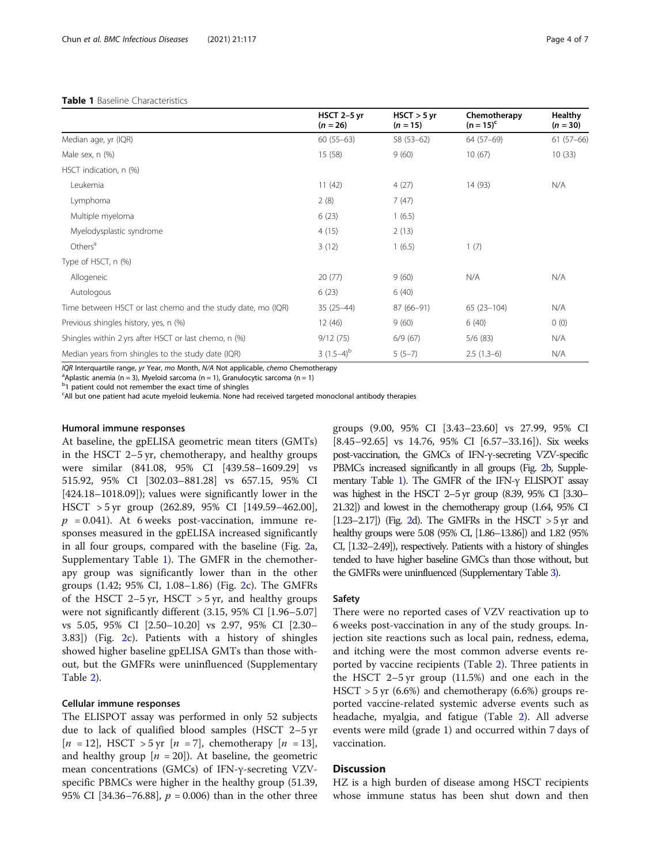#### <span id="page-3-0"></span>Table 1 Baseline Characteristics

|                                                              | HSCT 2-5 yr<br>$(n = 26)$ | $HSCT > 5$ yr<br>$(n = 15)$ | Chemotherapy<br>$(n = 15)^{c}$ | <b>Healthy</b><br>$(n = 30)$ |
|--------------------------------------------------------------|---------------------------|-----------------------------|--------------------------------|------------------------------|
| Median age, yr (IQR)                                         | $60(55-63)$               | $58(53-62)$                 | 64 (57-69)                     | $61(57-66)$                  |
| Male sex, n (%)                                              | 15 (58)                   | 9(60)                       | 10(67)                         | 10(33)                       |
| HSCT indication, n (%)                                       |                           |                             |                                |                              |
| Leukemia                                                     | 11(42)                    | 4(27)                       | 14 (93)                        | N/A                          |
| Lymphoma                                                     | 2(8)                      | 7(47)                       |                                |                              |
| Multiple myeloma                                             | 6(23)                     | 1(6.5)                      |                                |                              |
| Myelodysplastic syndrome                                     | 4(15)                     | 2(13)                       |                                |                              |
| Others <sup>a</sup>                                          | 3(12)                     | 1(6.5)                      | 1(7)                           |                              |
| Type of HSCT, n (%)                                          |                           |                             |                                |                              |
| Allogeneic                                                   | 20(77)                    | 9(60)                       | N/A                            | N/A                          |
| Autologous                                                   | 6(23)                     | 6(40)                       |                                |                              |
| Time between HSCT or last chemo and the study date, mo (IQR) | $35(25-44)$               | $87(66-91)$                 | $65(23-104)$                   | N/A                          |
| Previous shingles history, yes, n (%)                        | 12 (46)                   | 9(60)                       | 6(40)                          | 0(0)                         |
| Shingles within 2 yrs after HSCT or last chemo, n (%)        | 9/12(75)                  | 6/9(67)                     | 5/6(83)                        | N/A                          |
| Median years from shingles to the study date (IQR)           | $3(1.5-4)^{b}$            | $5(5-7)$                    | $2.5(1.3-6)$                   | N/A                          |

IQR Interquartile range, yr Year, mo Month, N/A Not applicable, chemo Chemotherapy

<sup>a</sup>Aplastic anemia (n = 3), Myeloid sarcoma (n = 1), Granulocytic sarcoma (n = 1)

<sup>b</sup>1 patient could not remember the exact time of shingles

c All but one patient had acute myeloid leukemia. None had received targeted monoclonal antibody therapies

#### Humoral immune responses

At baseline, the gpELISA geometric mean titers (GMTs) in the HSCT 2–5 yr, chemotherapy, and healthy groups were similar (841.08, 95% CI [439.58–1609.29] vs 515.92, 95% CI [302.03–881.28] vs 657.15, 95% CI [424.18–1018.09]); values were significantly lower in the HSCT > 5 yr group (262.89, 95% CI [149.59–462.00],  $p = 0.041$ ). At 6 weeks post-vaccination, immune responses measured in the gpELISA increased significantly in all four groups, compared with the baseline (Fig. [2a](#page-4-0), Supplementary Table [1\)](#page-5-0). The GMFR in the chemotherapy group was significantly lower than in the other groups (1.42; 95% CI, 1.08–1.86) (Fig. [2](#page-4-0)c). The GMFRs of the HSCT  $2-5$  yr, HSCT  $> 5$  yr, and healthy groups were not significantly different (3.15, 95% CI [1.96–5.07] vs 5.05, 95% CI [2.50–10.20] vs 2.97, 95% CI [2.30– 3.83]) (Fig. [2](#page-4-0)c). Patients with a history of shingles showed higher baseline gpELISA GMTs than those without, but the GMFRs were uninfluenced (Supplementary Table [2\)](#page-5-0).

#### Cellular immune responses

The ELISPOT assay was performed in only 52 subjects due to lack of qualified blood samples (HSCT 2–5 yr  $[n = 12]$ , HSCT > 5 yr  $[n = 7]$ , chemotherapy  $[n = 13]$ , and healthy group  $[n = 20]$ ). At baseline, the geometric mean concentrations (GMCs) of IFN-γ-secreting VZVspecific PBMCs were higher in the healthy group (51.39, 95% CI [34.36–76.88],  $p = 0.006$ ) than in the other three

groups (9.00, 95% CI [3.43–23.60] vs 27.99, 95% CI [8.45–92.65] vs 14.76, 95% CI [6.57–33.16]). Six weeks post-vaccination, the GMCs of IFN-γ-secreting VZV-specific PBMCs increased significantly in all groups (Fig. [2b](#page-4-0), Supplementary Table [1\)](#page-5-0). The GMFR of the IFN-γ ELISPOT assay was highest in the HSCT 2–5 yr group (8.39, 95% CI [3.30– 21.32]) and lowest in the chemotherapy group (1.64, 95% CI [1.23–2.17]) (Fig. [2d](#page-4-0)). The GMFRs in the HSCT  $>5$  yr and healthy groups were 5.08 (95% CI, [1.86–13.86]) and 1.82 (95% CI, [1.32–2.49]), respectively. Patients with a history of shingles tended to have higher baseline GMCs than those without, but the GMFRs were uninfluenced (Supplementary Table [3](#page-5-0)).

## Safety

There were no reported cases of VZV reactivation up to 6 weeks post-vaccination in any of the study groups. Injection site reactions such as local pain, redness, edema, and itching were the most common adverse events reported by vaccine recipients (Table [2\)](#page-5-0). Three patients in the HSCT 2–5 yr group (11.5%) and one each in the  $HSCT > 5$  yr (6.6%) and chemotherapy (6.6%) groups reported vaccine-related systemic adverse events such as headache, myalgia, and fatigue (Table [2\)](#page-5-0). All adverse events were mild (grade 1) and occurred within 7 days of vaccination.

## **Discussion**

HZ is a high burden of disease among HSCT recipients whose immune status has been shut down and then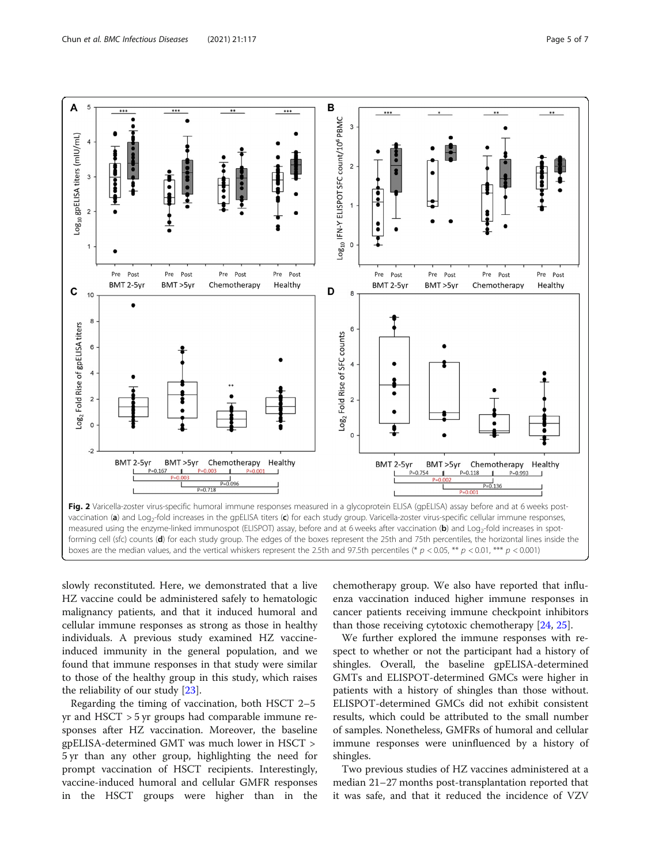<span id="page-4-0"></span>

slowly reconstituted. Here, we demonstrated that a live HZ vaccine could be administered safely to hematologic malignancy patients, and that it induced humoral and cellular immune responses as strong as those in healthy individuals. A previous study examined HZ vaccineinduced immunity in the general population, and we found that immune responses in that study were similar to those of the healthy group in this study, which raises the reliability of our study [\[23](#page-6-0)].

Regarding the timing of vaccination, both HSCT 2–5 yr and HSCT > 5 yr groups had comparable immune responses after HZ vaccination. Moreover, the baseline gpELISA-determined GMT was much lower in HSCT > 5 yr than any other group, highlighting the need for prompt vaccination of HSCT recipients. Interestingly, vaccine-induced humoral and cellular GMFR responses in the HSCT groups were higher than in the chemotherapy group. We also have reported that influenza vaccination induced higher immune responses in cancer patients receiving immune checkpoint inhibitors than those receiving cytotoxic chemotherapy [\[24](#page-6-0), [25](#page-6-0)].

We further explored the immune responses with respect to whether or not the participant had a history of shingles. Overall, the baseline gpELISA-determined GMTs and ELISPOT-determined GMCs were higher in patients with a history of shingles than those without. ELISPOT-determined GMCs did not exhibit consistent results, which could be attributed to the small number of samples. Nonetheless, GMFRs of humoral and cellular immune responses were uninfluenced by a history of shingles.

Two previous studies of HZ vaccines administered at a median 21–27 months post-transplantation reported that it was safe, and that it reduced the incidence of VZV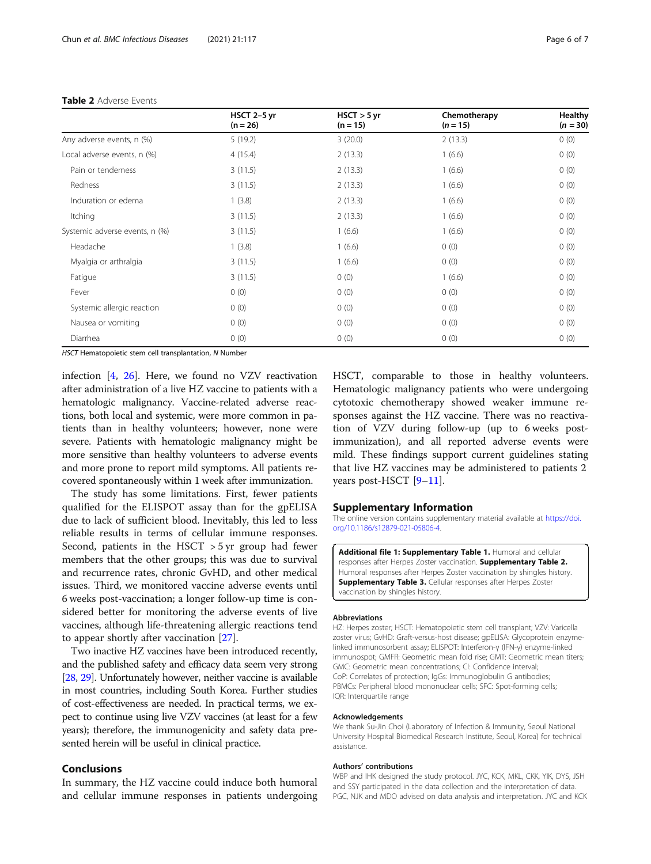|                                | HSCT 2-5 yr<br>$(n = 26)$ | $HSCT > 5$ yr<br>$(n = 15)$ | Chemotherapy<br>$(n = 15)$ | Healthy<br>$(n = 30)$ |
|--------------------------------|---------------------------|-----------------------------|----------------------------|-----------------------|
| Any adverse events, n (%)      | 5(19.2)                   | 3(20.0)                     | 2(13.3)                    | 0(0)                  |
| Local adverse events, n (%)    | 4(15.4)                   | 2(13.3)                     | 1(6.6)                     | 0(0)                  |
| Pain or tenderness             | 3(11.5)                   | 2(13.3)                     | 1(6.6)                     | 0(0)                  |
| Redness                        | 3(11.5)                   | 2(13.3)                     | 1(6.6)                     | 0(0)                  |
| Induration or edema            | 1(3.8)                    | 2(13.3)                     | 1(6.6)                     | 0(0)                  |
| Itching                        | 3(11.5)                   | 2(13.3)                     | 1(6.6)                     | 0(0)                  |
| Systemic adverse events, n (%) | 3(11.5)                   | 1(6.6)                      | 1(6.6)                     | 0(0)                  |
| Headache                       | 1(3.8)                    | 1(6.6)                      | 0(0)                       | 0(0)                  |
| Myalgia or arthralgia          | 3(11.5)                   | 1(6.6)                      | 0(0)                       | 0(0)                  |
| Fatigue                        | 3(11.5)                   | 0(0)                        | 1(6.6)                     | 0(0)                  |
| Fever                          | 0(0)                      | 0(0)                        | 0(0)                       | 0(0)                  |
| Systemic allergic reaction     | 0(0)                      | 0(0)                        | 0(0)                       | 0(0)                  |
| Nausea or vomiting             | 0(0)                      | 0(0)                        | 0(0)                       | 0(0)                  |
| Diarrhea                       | 0(0)                      | 0(0)                        | 0(0)                       | 0(0)                  |

#### <span id="page-5-0"></span>Table 2 Adverse Events

HSCT Hematopoietic stem cell transplantation, N Number

infection  $[4, 26]$  $[4, 26]$  $[4, 26]$  $[4, 26]$ . Here, we found no VZV reactivation after administration of a live HZ vaccine to patients with a hematologic malignancy. Vaccine-related adverse reactions, both local and systemic, were more common in patients than in healthy volunteers; however, none were severe. Patients with hematologic malignancy might be more sensitive than healthy volunteers to adverse events and more prone to report mild symptoms. All patients recovered spontaneously within 1 week after immunization.

The study has some limitations. First, fewer patients qualified for the ELISPOT assay than for the gpELISA due to lack of sufficient blood. Inevitably, this led to less reliable results in terms of cellular immune responses. Second, patients in the HSCT  $>$  5 yr group had fewer members that the other groups; this was due to survival and recurrence rates, chronic GvHD, and other medical issues. Third, we monitored vaccine adverse events until 6 weeks post-vaccination; a longer follow-up time is considered better for monitoring the adverse events of live vaccines, although life-threatening allergic reactions tend to appear shortly after vaccination [[27\]](#page-6-0).

Two inactive HZ vaccines have been introduced recently, and the published safety and efficacy data seem very strong [[28](#page-6-0), [29](#page-6-0)]. Unfortunately however, neither vaccine is available in most countries, including South Korea. Further studies of cost-effectiveness are needed. In practical terms, we expect to continue using live VZV vaccines (at least for a few years); therefore, the immunogenicity and safety data presented herein will be useful in clinical practice.

## Conclusions

In summary, the HZ vaccine could induce both humoral and cellular immune responses in patients undergoing HSCT, comparable to those in healthy volunteers. Hematologic malignancy patients who were undergoing cytotoxic chemotherapy showed weaker immune responses against the HZ vaccine. There was no reactivation of VZV during follow-up (up to 6 weeks postimmunization), and all reported adverse events were mild. These findings support current guidelines stating that live HZ vaccines may be administered to patients 2 years post-HSCT [\[9](#page-6-0)–[11\]](#page-6-0).

## Supplementary Information

The online version contains supplementary material available at [https://doi.](https://doi.org/10.1186/s12879-021-05806-4) [org/10.1186/s12879-021-05806-4.](https://doi.org/10.1186/s12879-021-05806-4)

Additional file 1: Supplementary Table 1. Humoral and cellular responses after Herpes Zoster vaccination. Supplementary Table 2. Humoral responses after Herpes Zoster vaccination by shingles history. **Supplementary Table 3.** Cellular responses after Herpes Zoster vaccination by shingles history.

#### Abbreviations

HZ: Herpes zoster; HSCT: Hematopoietic stem cell transplant; VZV: Varicella zoster virus; GvHD: Graft-versus-host disease; gpELISA: Glycoprotein enzymelinked immunosorbent assay; ELISPOT: Interferon-γ (IFN-γ) enzyme-linked immunospot; GMFR: Geometric mean fold rise; GMT: Geometric mean titers; GMC: Geometric mean concentrations; CI: Confidence interval; CoP: Correlates of protection; IgGs: Immunoglobulin G antibodies; PBMCs: Peripheral blood mononuclear cells; SFC: Spot-forming cells; IQR: Interquartile range

#### Acknowledgements

We thank Su-Jin Choi (Laboratory of Infection & Immunity, Seoul National University Hospital Biomedical Research Institute, Seoul, Korea) for technical assistance.

#### Authors' contributions

WBP and IHK designed the study protocol. JYC, KCK, MKL, CKK, YIK, DYS, JSH and SSY participated in the data collection and the interpretation of data. PGC, NJK and MDO advised on data analysis and interpretation. JYC and KCK